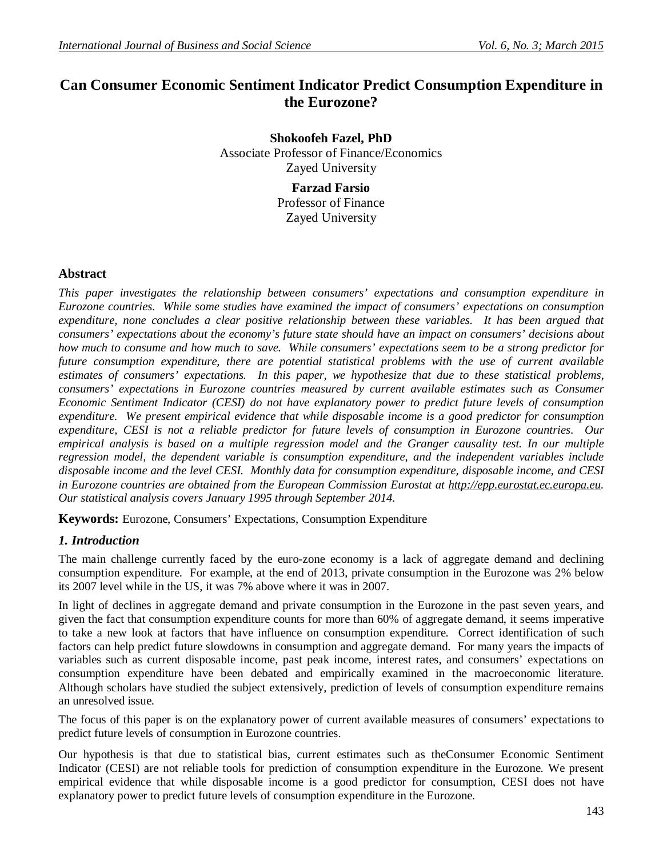# **Can Consumer Economic Sentiment Indicator Predict Consumption Expenditure in the Eurozone?**

**Shokoofeh Fazel, PhD** Associate Professor of Finance/Economics Zayed University

**Farzad Farsio** Professor of Finance Zayed University

#### **Abstract**

*This paper investigates the relationship between consumers' expectations and consumption expenditure in Eurozone countries. While some studies have examined the impact of consumers' expectations on consumption expenditure, none concludes a clear positive relationship between these variables. It has been argued that consumers' expectations about the economy's future state should have an impact on consumers' decisions about how much to consume and how much to save. While consumers' expectations seem to be a strong predictor for future consumption expenditure, there are potential statistical problems with the use of current available estimates of consumers' expectations. In this paper, we hypothesize that due to these statistical problems, consumers' expectations in Eurozone countries measured by current available estimates such as Consumer Economic Sentiment Indicator (CESI) do not have explanatory power to predict future levels of consumption expenditure. We present empirical evidence that while disposable income is a good predictor for consumption expenditure, CESI is not a reliable predictor for future levels of consumption in Eurozone countries. Our empirical analysis is based on a multiple regression model and the Granger causality test. In our multiple regression model, the dependent variable is consumption expenditure, and the independent variables include disposable income and the level CESI. Monthly data for consumption expenditure, disposable income, and CESI in Eurozone countries are obtained from the European Commission Eurostat at http://epp.eurostat.ec.europa.eu. Our statistical analysis covers January 1995 through September 2014.* 

**Keywords:** Eurozone, Consumers' Expectations, Consumption Expenditure

### *1. Introduction*

The main challenge currently faced by the euro-zone economy is a lack of aggregate demand and declining consumption expenditure. For example, at the end of 2013, private consumption in the Eurozone was 2% below its 2007 level while in the US, it was 7% above where it was in 2007.

In light of declines in aggregate demand and private consumption in the Eurozone in the past seven years, and given the fact that consumption expenditure counts for more than 60% of aggregate demand, it seems imperative to take a new look at factors that have influence on consumption expenditure. Correct identification of such factors can help predict future slowdowns in consumption and aggregate demand. For many years the impacts of variables such as current disposable income, past peak income, interest rates, and consumers' expectations on consumption expenditure have been debated and empirically examined in the macroeconomic literature. Although scholars have studied the subject extensively, prediction of levels of consumption expenditure remains an unresolved issue.

The focus of this paper is on the explanatory power of current available measures of consumers' expectations to predict future levels of consumption in Eurozone countries.

Our hypothesis is that due to statistical bias, current estimates such as theConsumer Economic Sentiment Indicator (CESI) are not reliable tools for prediction of consumption expenditure in the Eurozone. We present empirical evidence that while disposable income is a good predictor for consumption, CESI does not have explanatory power to predict future levels of consumption expenditure in the Eurozone.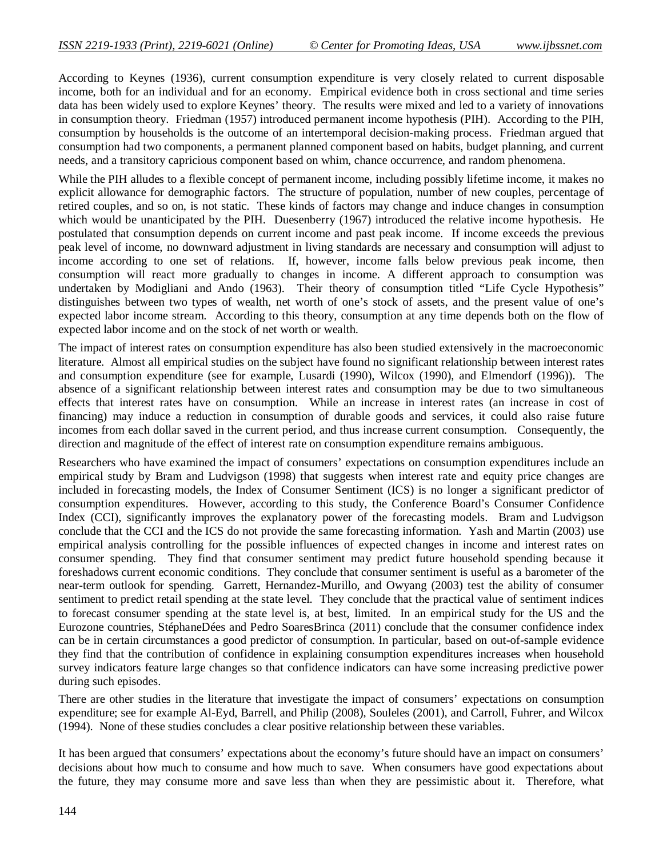According to Keynes (1936), current consumption expenditure is very closely related to current disposable income, both for an individual and for an economy. Empirical evidence both in cross sectional and time series data has been widely used to explore Keynes' theory. The results were mixed and led to a variety of innovations in consumption theory. Friedman (1957) introduced permanent income hypothesis (PIH). According to the PIH, consumption by households is the outcome of an intertemporal decision-making process. Friedman argued that consumption had two components, a permanent planned component based on habits, budget planning, and current needs, and a transitory capricious component based on whim, chance occurrence, and random phenomena.

While the PIH alludes to a flexible concept of permanent income, including possibly lifetime income, it makes no explicit allowance for demographic factors. The structure of population, number of new couples, percentage of retired couples, and so on, is not static. These kinds of factors may change and induce changes in consumption which would be unanticipated by the PIH. Duesenberry (1967) introduced the relative income hypothesis. He postulated that consumption depends on current income and past peak income. If income exceeds the previous peak level of income, no downward adjustment in living standards are necessary and consumption will adjust to income according to one set of relations. If, however, income falls below previous peak income, then consumption will react more gradually to changes in income. A different approach to consumption was undertaken by Modigliani and Ando (1963). Their theory of consumption titled "Life Cycle Hypothesis" distinguishes between two types of wealth, net worth of one's stock of assets, and the present value of one's expected labor income stream. According to this theory, consumption at any time depends both on the flow of expected labor income and on the stock of net worth or wealth.

The impact of interest rates on consumption expenditure has also been studied extensively in the macroeconomic literature. Almost all empirical studies on the subject have found no significant relationship between interest rates and consumption expenditure (see for example, Lusardi (1990), Wilcox (1990), and Elmendorf (1996)). The absence of a significant relationship between interest rates and consumption may be due to two simultaneous effects that interest rates have on consumption. While an increase in interest rates (an increase in cost of financing) may induce a reduction in consumption of durable goods and services, it could also raise future incomes from each dollar saved in the current period, and thus increase current consumption. Consequently, the direction and magnitude of the effect of interest rate on consumption expenditure remains ambiguous.

Researchers who have examined the impact of consumers' expectations on consumption expenditures include an empirical study by Bram and Ludvigson (1998) that suggests when interest rate and equity price changes are included in forecasting models, the Index of Consumer Sentiment (ICS) is no longer a significant predictor of consumption expenditures. However, according to this study, the Conference Board's Consumer Confidence Index (CCI), significantly improves the explanatory power of the forecasting models. Bram and Ludvigson conclude that the CCI and the ICS do not provide the same forecasting information. Yash and Martin (2003) use empirical analysis controlling for the possible influences of expected changes in income and interest rates on consumer spending. They find that consumer sentiment may predict future household spending because it foreshadows current economic conditions. They conclude that consumer sentiment is useful as a barometer of the near-term outlook for spending. Garrett, Hernandez-Murillo, and Owyang (2003) test the ability of consumer sentiment to predict retail spending at the state level. They conclude that the practical value of sentiment indices to forecast consumer spending at the state level is, at best, limited. In an empirical study for the US and the Eurozone countries, StéphaneDées and Pedro SoaresBrinca (2011) conclude that the consumer confidence index can be in certain circumstances a good predictor of consumption. In particular, based on out-of-sample evidence they find that the contribution of confidence in explaining consumption expenditures increases when household survey indicators feature large changes so that confidence indicators can have some increasing predictive power during such episodes.

There are other studies in the literature that investigate the impact of consumers' expectations on consumption expenditure; see for example Al-Eyd, Barrell, and Philip (2008), Souleles (2001), and Carroll, Fuhrer, and Wilcox (1994). None of these studies concludes a clear positive relationship between these variables.

It has been argued that consumers' expectations about the economy's future should have an impact on consumers' decisions about how much to consume and how much to save. When consumers have good expectations about the future, they may consume more and save less than when they are pessimistic about it. Therefore, what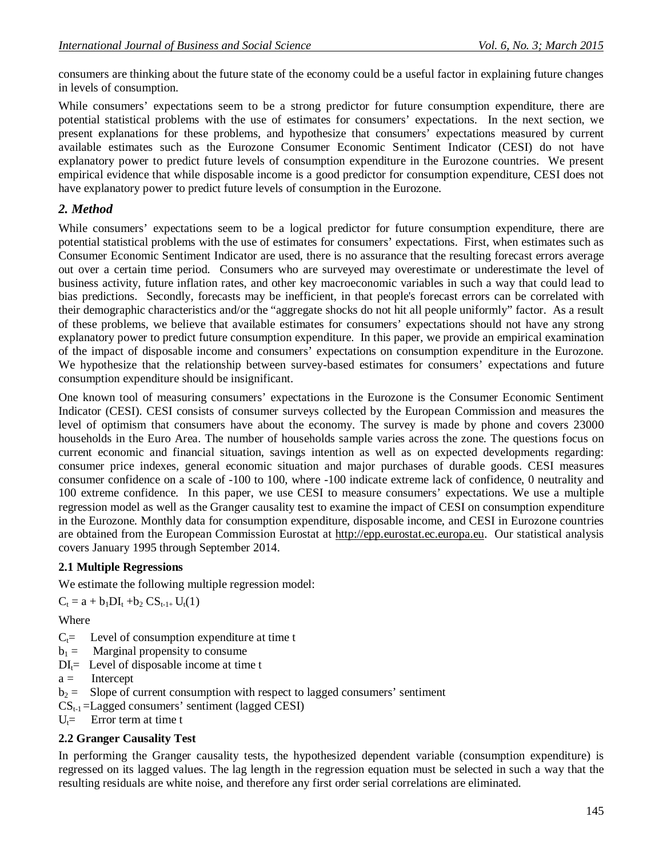consumers are thinking about the future state of the economy could be a useful factor in explaining future changes in levels of consumption.

While consumers' expectations seem to be a strong predictor for future consumption expenditure, there are potential statistical problems with the use of estimates for consumers' expectations. In the next section, we present explanations for these problems, and hypothesize that consumers' expectations measured by current available estimates such as the Eurozone Consumer Economic Sentiment Indicator (CESI) do not have explanatory power to predict future levels of consumption expenditure in the Eurozone countries. We present empirical evidence that while disposable income is a good predictor for consumption expenditure, CESI does not have explanatory power to predict future levels of consumption in the Eurozone.

### *2. Method*

While consumers' expectations seem to be a logical predictor for future consumption expenditure, there are potential statistical problems with the use of estimates for consumers' expectations. First, when estimates such as Consumer Economic Sentiment Indicator are used, there is no assurance that the resulting forecast errors average out over a certain time period. Consumers who are surveyed may overestimate or underestimate the level of business activity, future inflation rates, and other key macroeconomic variables in such a way that could lead to bias predictions. Secondly, forecasts may be inefficient, in that people's forecast errors can be correlated with their demographic characteristics and/or the "aggregate shocks do not hit all people uniformly" factor. As a result of these problems, we believe that available estimates for consumers' expectations should not have any strong explanatory power to predict future consumption expenditure. In this paper, we provide an empirical examination of the impact of disposable income and consumers' expectations on consumption expenditure in the Eurozone. We hypothesize that the relationship between survey-based estimates for consumers' expectations and future consumption expenditure should be insignificant.

One known tool of measuring consumers' expectations in the Eurozone is the Consumer Economic Sentiment Indicator (CESI). CESI consists of consumer surveys collected by the European Commission and measures the level of optimism that consumers have about the economy. The survey is made by phone and covers 23000 households in the Euro Area. The number of households sample varies across the zone. The questions focus on current economic and financial situation, savings intention as well as on expected developments regarding: consumer price indexes, general economic situation and major purchases of durable goods. CESI measures consumer confidence on a scale of -100 to 100, where -100 indicate extreme lack of confidence, 0 neutrality and 100 extreme confidence. In this paper, we use CESI to measure consumers' expectations. We use a multiple regression model as well as the Granger causality test to examine the impact of CESI on consumption expenditure in the Eurozone. Monthly data for consumption expenditure, disposable income, and CESI in Eurozone countries are obtained from the European Commission Eurostat at http://epp.eurostat.ec.europa.eu. Our statistical analysis covers January 1995 through September 2014.

#### **2.1 Multiple Regressions**

We estimate the following multiple regression model:

 $C_t = a + b_1 DI_t + b_2 CS_{t-1+} U_t(1)$ 

Where

- $C_t$ = Level of consumption expenditure at time t
- $b_1 =$  Marginal propensity to consume
- $DI_{\tau}$  Level of disposable income at time t
- $a =$  Intercept
- $b_2$  = Slope of current consumption with respect to lagged consumers' sentiment
- $CS_{t-1}$ =Lagged consumers' sentiment (lagged CESI)
- $U_t$ = Error term at time t

#### **2.2 Granger Causality Test**

In performing the Granger causality tests, the hypothesized dependent variable (consumption expenditure) is regressed on its lagged values. The lag length in the regression equation must be selected in such a way that the resulting residuals are white noise, and therefore any first order serial correlations are eliminated.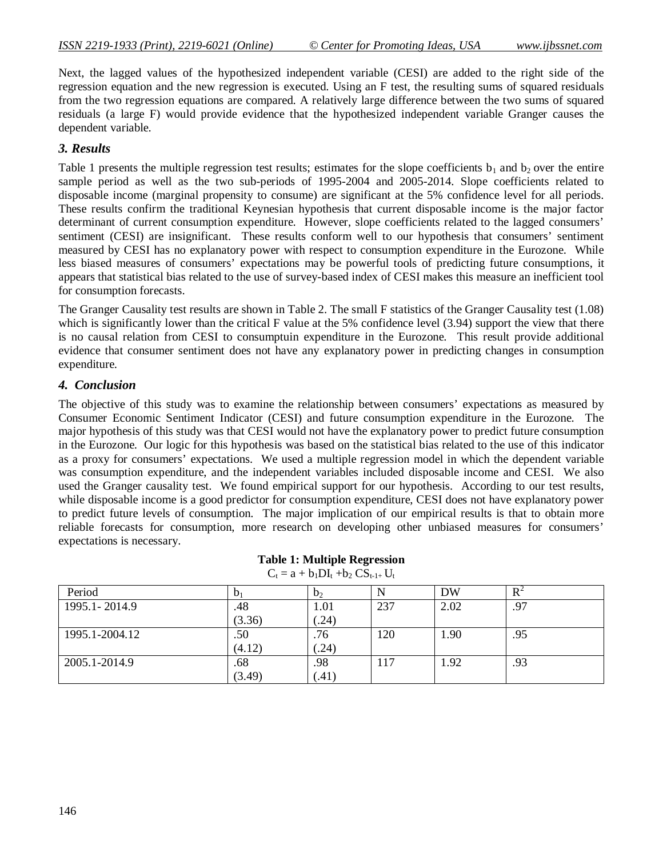Next, the lagged values of the hypothesized independent variable (CESI) are added to the right side of the regression equation and the new regression is executed. Using an F test, the resulting sums of squared residuals from the two regression equations are compared. A relatively large difference between the two sums of squared residuals (a large F) would provide evidence that the hypothesized independent variable Granger causes the dependent variable.

#### *3. Results*

Table 1 presents the multiple regression test results; estimates for the slope coefficients  $b_1$  and  $b_2$  over the entire sample period as well as the two sub-periods of 1995-2004 and 2005-2014. Slope coefficients related to disposable income (marginal propensity to consume) are significant at the 5% confidence level for all periods. These results confirm the traditional Keynesian hypothesis that current disposable income is the major factor determinant of current consumption expenditure. However, slope coefficients related to the lagged consumers' sentiment (CESI) are insignificant. These results conform well to our hypothesis that consumers' sentiment measured by CESI has no explanatory power with respect to consumption expenditure in the Eurozone. While less biased measures of consumers' expectations may be powerful tools of predicting future consumptions, it appears that statistical bias related to the use of survey-based index of CESI makes this measure an inefficient tool for consumption forecasts.

The Granger Causality test results are shown in Table 2. The small F statistics of the Granger Causality test (1.08) which is significantly lower than the critical F value at the 5% confidence level (3.94) support the view that there is no causal relation from CESI to consumptuin expenditure in the Eurozone. This result provide additional evidence that consumer sentiment does not have any explanatory power in predicting changes in consumption expenditure.

#### *4. Conclusion*

The objective of this study was to examine the relationship between consumers' expectations as measured by Consumer Economic Sentiment Indicator (CESI) and future consumption expenditure in the Eurozone. The major hypothesis of this study was that CESI would not have the explanatory power to predict future consumption in the Eurozone. Our logic for this hypothesis was based on the statistical bias related to the use of this indicator as a proxy for consumers' expectations. We used a multiple regression model in which the dependent variable was consumption expenditure, and the independent variables included disposable income and CESI. We also used the Granger causality test. We found empirical support for our hypothesis. According to our test results, while disposable income is a good predictor for consumption expenditure, CESI does not have explanatory power to predict future levels of consumption. The major implication of our empirical results is that to obtain more reliable forecasts for consumption, more research on developing other unbiased measures for consumers' expectations is necessary.

| <b>Table 1: Multiple Regression</b><br>$C_t = a + b_1 DI_t + b_2 CS_{t-1+} U_t$ |       |  |                |  |   |  |    |
|---------------------------------------------------------------------------------|-------|--|----------------|--|---|--|----|
|                                                                                 | $b_1$ |  | b <sub>2</sub> |  | N |  | DW |

| Period         | $\mathbf{D}_1$ | b <sub>2</sub> |      | DW   | $R^2$ |
|----------------|----------------|----------------|------|------|-------|
| 1995.1-2014.9  | .48            | 1.01           | 237  | 2.02 | .97   |
|                | (3.36)         | (.24)          |      |      |       |
| 1995.1-2004.12 | .50            | .76            | 120  | .90  | .95   |
|                | (4.12)         | (.24)          |      |      |       |
| 2005.1-2014.9  | .68            | .98            | . 17 | 1.92 | .93   |
|                | (3.49)         | (.41)          |      |      |       |